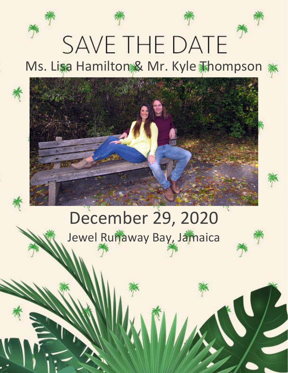# **SAVE THE DATE** Ms. Lisa Hamilton & Mr. Kyle Thompson \*

## December 29, 2020 Jewel Runaway Bay, Jamaica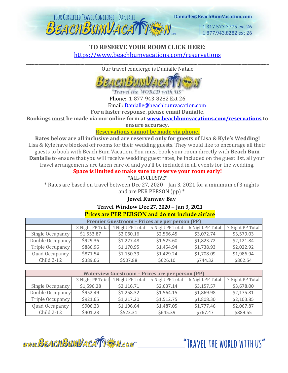

1.317.577.7775 ext 26 1.877,943,8282 ext 26

## **TO RESERVE YOUR ROOM CLICK HERE:** <https://www.beachbumvacations.com/reservations> \_\_\_\_\_\_\_\_\_\_\_\_\_\_\_\_\_\_\_\_\_\_\_\_\_\_\_\_\_\_\_\_\_\_\_\_\_\_\_\_\_\_\_\_\_\_\_\_\_\_\_\_\_\_\_\_\_\_\_\_\_\_\_\_\_\_\_\_\_\_\_\_\_\_\_\_\_\_\_\_\_\_\_\_\_\_\_\_\_\_\_\_\_\_\_\_\_\_\_\_\_\_\_\_\_\_\_\_\_\_\_\_\_\_\_\_

Our travel concierge is Danialle Natale



"Travel the WORLD with US" Phone: 1-877-943-8282 Ext 26

Email: [Danialle@beachbumvacation.com](mailto:Danialle@beachbumvacation.com)

**For a faster response, please email Danialle.**

**Bookings must be made via our online form at www.beachbumvacations.com/reservation[s](http://www.beachbumvacation.com/reservation) to** 

**ensure accuracy.**

#### **Reservations cannot be made via phone.**

**Rates below are all inclusive and are reserved only for guests of Lisa & Kyle's Wedding!** Lisa & Kyle have blocked off rooms for their wedding guests. They would like to encourage all their guests to book with Beach Bum Vacation. You must book your room directly with **Beach Bum Danialle** to ensure that you will receive wedding guest rates, be included on the guest list, all your travel arrangements are taken care of and you'll be included in all events for the wedding.

**Space is limited so make sure to reserve your room early!**

\*ALL-INCLUSIVE\*

\* Rates are based on travel between Dec 27, 2020 – Jan 3, 2021 for a minimum of 3 nights and are PER PERSON (pp) \*

## **Jewel Runway Bay**

## **Travel Window Dec 27, 2020 – Jan 3, 2021**

## **Prices are PER PERSON and do not include airfare**

| Premier Guestroom - Prices are per person (PP) |                  |                  |                  |                  |                  |  |  |  |
|------------------------------------------------|------------------|------------------|------------------|------------------|------------------|--|--|--|
|                                                | 3 Night PP Total | 4 Night PP Total | 5 Night PP Total | 6 Night PP Total | 7 Night PP Total |  |  |  |
| Single Occupancy                               | \$1,553.87       | \$2,060.16       | \$2,566.45       | \$3,072.74       | \$3,579.03       |  |  |  |
| Double Occupancy                               | \$929.36         | \$1,227.48       | \$1,525.60       | \$1,823.72       | \$2,121.84       |  |  |  |
| Triple Occupancy                               | \$886.96         | \$1,170.95       | \$1,454.94       | \$1,738.93       | \$2,022.92       |  |  |  |
| Quad Occupancy                                 | \$871.54         | \$1,150.39       | \$1,429.24       | \$1,708.09       | \$1,986.94       |  |  |  |
| $Child 2-12$                                   | \$389.66         | \$507.88         | \$626.10         | \$744.32         | \$862.54         |  |  |  |

| <b>Waterview Guestroom - Prices are per person (PP)</b> |                  |                  |                  |                  |                  |  |  |  |
|---------------------------------------------------------|------------------|------------------|------------------|------------------|------------------|--|--|--|
|                                                         | 3 Night PP Total | 4 Night PP Total | 5 Night PP Total | 6 Night PP Total | 7 Night PP Total |  |  |  |
| Single Occupancy                                        | \$1,596.28       | \$2,116.71       | \$2,637.14       | \$3,157.57       | \$3,678.00       |  |  |  |
| Double Occupancy                                        | \$952.49         | \$1,258.32       | \$1,564.15       | \$1,869.98       | \$2,175.81       |  |  |  |
| Triple Occupancy                                        | \$921.65         | \$1,217.20       | \$1,512.75       | \$1,808.30       | \$2,103.85       |  |  |  |
| Quad Occupancy                                          | \$906.23         | \$1,196.64       | \$1,487.05       | \$1,777.46       | \$2,067.87       |  |  |  |
| Child 2-12                                              | \$401.23         | \$523.31         | \$645.39         | \$767.47         | \$889.55         |  |  |  |



"TRAVFI THE WORLD WITH US"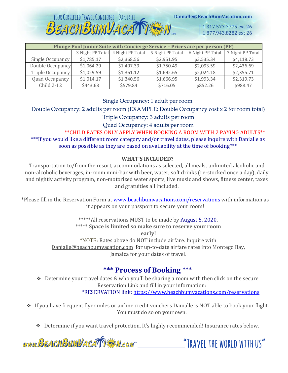

| Plunge Pool Junior Suite with Concierge Service - Prices are per person (PP) |                  |                  |                  |                  |                  |  |  |  |
|------------------------------------------------------------------------------|------------------|------------------|------------------|------------------|------------------|--|--|--|
|                                                                              | 3 Night PP Total | 4 Night PP Total | 5 Night PP Total | 6 Night PP Total | 7 Night PP Total |  |  |  |
| Single Occupancy                                                             | \$1,785.17       | \$2,368.56       | \$2,951.95       | \$3,535.34       | \$4,118.73       |  |  |  |
| Double Occupancy                                                             | \$1,064.29       | \$1,407.39       | \$1,750.49       | \$2,093.59       | \$2,436.69       |  |  |  |
| Triple Occupancy                                                             | \$1,029.59       | \$1,361.12       | \$1,692.65       | \$2,024.18       | \$2,355.71       |  |  |  |
| Quad Occupancy                                                               | \$1,014.17       | \$1,340.56       | \$1,666.95       | \$1,993.34       | \$2,319.73       |  |  |  |
| Child 2-12                                                                   | \$443.63         | \$579.84         | \$716.05         | \$852.26         | \$988.47         |  |  |  |

Single Occupancy: 1 adult per room

Double Occupancy: 2 adults per room (EXAMPLE: Double Occupancy cost x 2 for room total)

Triple Occupancy: 3 adults per room

Quad Occupancy: 4 adults per room

\*\*CHILD RATES ONLY APPLY WHEN BOOKING A ROOM WITH 2 PAYING ADULTS\*\* \*\*\*If you would like a different room category and/or travel dates, please inquire with Danialle as soon as possible as they are based on availability at the time of booking\*\*\*

#### **WHAT'S INCLUDED?**

Transportation to/from the resort, accommodations as selected, all meals, unlimited alcoholic and non-alcoholic beverages, in-room mini-bar with beer, water, soft drinks (re-stocked once a day), daily and nightly activity program, non-motorized water sports, live music and shows, fitness center, taxes and gratuities all included.

\*Please fill in the Reservation Form at [www.beachbumvacations.com/reservation](http://www.beachbumvacations.com/reservations)s with information as it appears on your passport to secure your room!

> \*\*\*\*\*All reservations MUST to be made by August 5, 2020. \*\*\*\*\* **Space is limited so make sure to reserve your room early!** \*NOTE: Rates above do NOT include airfare. Inquire with Danialle@beachbumvacation.com for up-to-date airfare rates into Montego Bay, Jamaica for your dates of travel.

## **\*\*\* Process of Booking** \*\*\*

- ❖ Determine your travel dates & who you'll be sharing a room with then click on the secure Reservation Link and fill in your information: \*RESERVATION link[: https://www.beachbumvacations.com/reservations](https://www.beachbumvacations.com/reservations)
- ❖ If you have frequent flyer miles or airline credit vouchers Danialle is NOT able to book your flight. You must do so on your own.
	- ❖ Determine if you want travel protection. It's highly recommended! Insurance rates below.

www.BEACHBUMVACATTE M.com

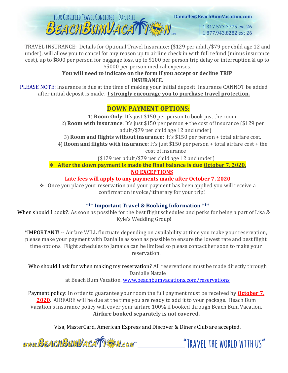YOUR CERTIFIED TRAVEL CONCIERGE - DANIALLE Danialle@BeachBumVacation.com **BEACHBUMVACATTESM.** 1.317.577.7775 ext 26 1.877.943.8282 ext 26

TRAVEL INSURANCE: Details for Optional Travel Insurance: (\$129 per adult/\$79 per child age 12 and under), will allow you to cancel for any reason up to airline check in with full refund (minus insurance cost), up to \$800 per person for baggage loss, up to \$100 per person trip delay or interruption & up to \$5000 per person medical expenses.

#### **You will need to indicate on the form if you accept or decline TRIP INSURANCE.**

PLEASE NOTE: Insurance is due at the time of making your initial deposit. Insurance CANNOT be added after initial deposit is made. **I strongly encourage you to purchase travel protection.**

## **DOWN PAYMENT OPTIONS:**

1) **Room Only**: It's just \$150 per person to book just the room. 2) **Room with insurance**: It's just \$150 per person + the cost of insurance (\$129 per adult/\$79 per child age 12 and under)

3) **Room and flights without insurance**: It's \$150 per person + total airfare cost.

4) **Room and flights with insurance**: It's just \$150 per person + total airfare cost + the

cost of insurance

(\$129 per adult/\$79 per child age 12 and under)

❖ **After the down payment is made the final balance is due October 7, 2020. NO EXCEPTIONS**

**Late fees will apply to any payments made after October 7, 2020**

❖ Once you place your reservation and your payment has been applied you will receive a confirmation invoice/itinerary for your trip!

## **\*\*\* Important Travel & Booking Information \*\*\***

When should I book?: As soon as possible for the best flight schedules and perks for being a part of Lisa & Kyle's Wedding Group!

\*IMPORTANT! -- Airfare WILL fluctuate depending on availability at time you make your reservation, please make your payment with Danialle as soon as possible to ensure the lowest rate and best flight time options. Flight schedules to Jamaica can be limited so please contact her soon to make your reservation.

Who should I ask for when making my reservation? All reservations must be made directly through Danialle Natale

at Beach Bum Vacation. [www.beachbumvacations.com/reservations](http://www.beachbumvacations.com/reservations)

Payment policy: In order to guarantee your room the full payment must be received by **October 7, 2020**. AIRFARE will be due at the time you are ready to add it to your package. Beach Bum Vacation's insurance policy will cover your airfare 100% if booked through Beach Bum Vacation. **Airfare booked separately is not covered.**

Visa, MasterCard, American Express and Discover & Diners Club are accepted.

www.BEACHBUMVACATTEN.com

"TRAVEL THE WORLD WITH US"